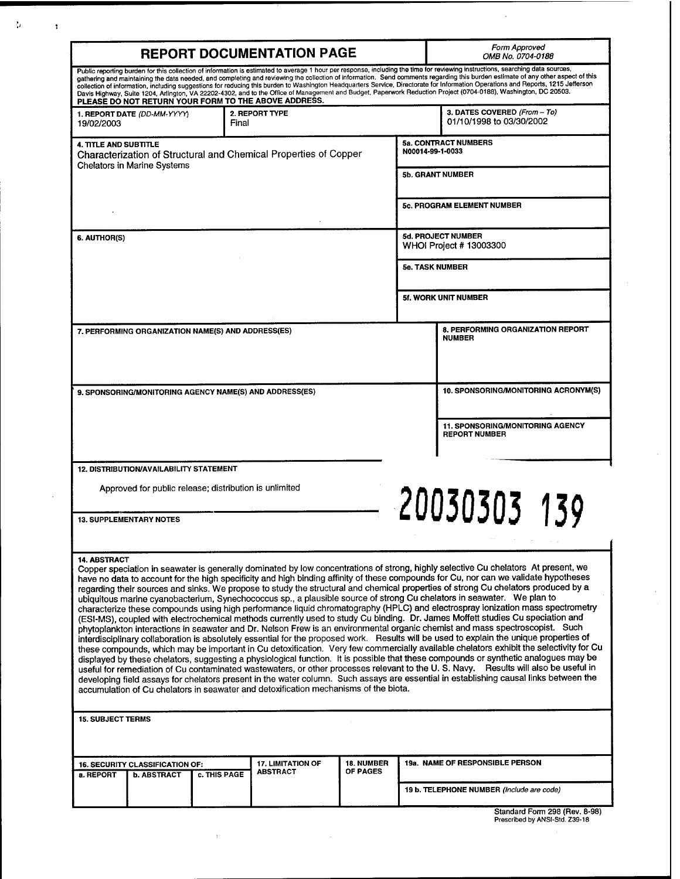| <b>REPORT DOCUMENTATION PAGE</b>                                                                                                                                                                                                                                  |                         |                   |            |                                                      | Form Approved<br>OMB No. 0704-0188                                                                                                                                                                                                                                                                                                                                                                                                                                                                                                                                                                                                                                                                                                                                                                                                                                                                                                                                                                                                                                                                                                                                                                                                                                                                                                                                                                                                                                                                                                |  |
|-------------------------------------------------------------------------------------------------------------------------------------------------------------------------------------------------------------------------------------------------------------------|-------------------------|-------------------|------------|------------------------------------------------------|-----------------------------------------------------------------------------------------------------------------------------------------------------------------------------------------------------------------------------------------------------------------------------------------------------------------------------------------------------------------------------------------------------------------------------------------------------------------------------------------------------------------------------------------------------------------------------------------------------------------------------------------------------------------------------------------------------------------------------------------------------------------------------------------------------------------------------------------------------------------------------------------------------------------------------------------------------------------------------------------------------------------------------------------------------------------------------------------------------------------------------------------------------------------------------------------------------------------------------------------------------------------------------------------------------------------------------------------------------------------------------------------------------------------------------------------------------------------------------------------------------------------------------------|--|
| PLEASE DO NOT RETURN YOUR FORM TO THE ABOVE ADDRESS.                                                                                                                                                                                                              |                         |                   |            |                                                      | Public reporting burden for this collection of information is estimated to average 1 hour per response, including the time for reviewing instructions, searching data sources,<br>gathering and maintaining the data needed, and completing and reviewing the collection of information. Send comments regarding this burden estimate of any other aspect of this<br>collection of information, including suggestions for reducing this burden to Washington Headquarters Service, Directorate for Information Operations and Reports, 1215 Jefferson<br>Davis Highway, Suite 1204, Arlington, VA 22202-4302, and to the Office of Management and Budget, Paperwork Reduction Project (0704-0188), Washington, DC 20503.                                                                                                                                                                                                                                                                                                                                                                                                                                                                                                                                                                                                                                                                                                                                                                                                          |  |
| 1. REPORT DATE (DD-MM-YYYY)<br>19/02/2003                                                                                                                                                                                                                         | 2. REPORT TYPE<br>Final |                   |            |                                                      | 3. DATES COVERED (From - To)<br>01/10/1998 to 03/30/2002                                                                                                                                                                                                                                                                                                                                                                                                                                                                                                                                                                                                                                                                                                                                                                                                                                                                                                                                                                                                                                                                                                                                                                                                                                                                                                                                                                                                                                                                          |  |
| <b>4. TITLE AND SUBTITLE</b><br>Characterization of Structural and Chemical Properties of Copper<br><b>Chelators in Marine Systems</b>                                                                                                                            |                         |                   |            | <b>5a. CONTRACT NUMBERS</b><br>N00014-99-1-0033      |                                                                                                                                                                                                                                                                                                                                                                                                                                                                                                                                                                                                                                                                                                                                                                                                                                                                                                                                                                                                                                                                                                                                                                                                                                                                                                                                                                                                                                                                                                                                   |  |
|                                                                                                                                                                                                                                                                   |                         |                   |            | <b>5b. GRANT NUMBER</b>                              |                                                                                                                                                                                                                                                                                                                                                                                                                                                                                                                                                                                                                                                                                                                                                                                                                                                                                                                                                                                                                                                                                                                                                                                                                                                                                                                                                                                                                                                                                                                                   |  |
|                                                                                                                                                                                                                                                                   |                         |                   |            |                                                      | <b>5c. PROGRAM ELEMENT NUMBER</b>                                                                                                                                                                                                                                                                                                                                                                                                                                                                                                                                                                                                                                                                                                                                                                                                                                                                                                                                                                                                                                                                                                                                                                                                                                                                                                                                                                                                                                                                                                 |  |
| 6. AUTHOR(S)                                                                                                                                                                                                                                                      |                         |                   |            | <b>5d. PROJECT NUMBER</b><br>WHOI Project # 13003300 |                                                                                                                                                                                                                                                                                                                                                                                                                                                                                                                                                                                                                                                                                                                                                                                                                                                                                                                                                                                                                                                                                                                                                                                                                                                                                                                                                                                                                                                                                                                                   |  |
|                                                                                                                                                                                                                                                                   |                         |                   |            |                                                      | <b>5e. TASK NUMBER</b>                                                                                                                                                                                                                                                                                                                                                                                                                                                                                                                                                                                                                                                                                                                                                                                                                                                                                                                                                                                                                                                                                                                                                                                                                                                                                                                                                                                                                                                                                                            |  |
|                                                                                                                                                                                                                                                                   |                         |                   |            |                                                      | 5f. WORK UNIT NUMBER                                                                                                                                                                                                                                                                                                                                                                                                                                                                                                                                                                                                                                                                                                                                                                                                                                                                                                                                                                                                                                                                                                                                                                                                                                                                                                                                                                                                                                                                                                              |  |
| 7. PERFORMING ORGANIZATION NAME(S) AND ADDRESS(ES)                                                                                                                                                                                                                |                         |                   |            |                                                      | 8. PERFORMING ORGANIZATION REPORT<br><b>NUMBER</b>                                                                                                                                                                                                                                                                                                                                                                                                                                                                                                                                                                                                                                                                                                                                                                                                                                                                                                                                                                                                                                                                                                                                                                                                                                                                                                                                                                                                                                                                                |  |
| 9. SPONSORING/MONITORING AGENCY NAME(S) AND ADDRESS(ES)                                                                                                                                                                                                           |                         |                   |            |                                                      | 10. SPONSORING/MONITORING ACRONYM(S)                                                                                                                                                                                                                                                                                                                                                                                                                                                                                                                                                                                                                                                                                                                                                                                                                                                                                                                                                                                                                                                                                                                                                                                                                                                                                                                                                                                                                                                                                              |  |
|                                                                                                                                                                                                                                                                   |                         |                   |            |                                                      | <b>11. SPONSORING/MONITORING AGENCY</b><br><b>REPORT NUMBER</b>                                                                                                                                                                                                                                                                                                                                                                                                                                                                                                                                                                                                                                                                                                                                                                                                                                                                                                                                                                                                                                                                                                                                                                                                                                                                                                                                                                                                                                                                   |  |
| 12. DISTRIBUTION/AVAILABILITY STATEMENT                                                                                                                                                                                                                           |                         |                   |            |                                                      |                                                                                                                                                                                                                                                                                                                                                                                                                                                                                                                                                                                                                                                                                                                                                                                                                                                                                                                                                                                                                                                                                                                                                                                                                                                                                                                                                                                                                                                                                                                                   |  |
| Approved for public release; distribution is unlimited                                                                                                                                                                                                            |                         |                   |            |                                                      | 20030303 139                                                                                                                                                                                                                                                                                                                                                                                                                                                                                                                                                                                                                                                                                                                                                                                                                                                                                                                                                                                                                                                                                                                                                                                                                                                                                                                                                                                                                                                                                                                      |  |
| <b>13. SUPPLEMENTARY NOTES</b>                                                                                                                                                                                                                                    |                         |                   |            |                                                      | the control of the control                                                                                                                                                                                                                                                                                                                                                                                                                                                                                                                                                                                                                                                                                                                                                                                                                                                                                                                                                                                                                                                                                                                                                                                                                                                                                                                                                                                                                                                                                                        |  |
| <b>14. ABSTRACT</b><br>ubiquitous marine cyanobacterium, Synechococcus sp., a plausible source of strong Cu chelators in seawater. We plan to<br>accumulation of Cu chelators in seawater and detoxification mechanisms of the biota.<br><b>15. SUBJECT TERMS</b> |                         |                   |            |                                                      | Copper speciation in seawater is generally dominated by low concentrations of strong, highly selective Cu chelators At present, we<br>have no data to account for the high specificity and high binding affinity of these compounds for Cu, nor can we validate hypotheses<br>regarding their sources and sinks. We propose to study the structural and chemical properties of strong Cu chelators produced by a<br>characterize these compounds using high performance liquid chromatography (HPLC) and electrospray ionization mass spectrometry<br>(ESI-MS), coupled with electrochemical methods currently used to study Cu binding. Dr. James Moffett studies Cu speciation and<br>phytoplankton interactions in seawater and Dr. Nelson Frew is an environmental organic chemist and mass spectroscopist. Such<br>interdisciplinary collaboration is absolutely essential for the proposed work. Results will be used to explain the unique properties of<br>these compounds, which may be important in Cu detoxification. Very few commercially available chelators exhibit the selectivity for Cu<br>displayed by these chelators, suggesting a physiological function. It is possible that these compounds or synthetic analogues may be<br>useful for remediation of Cu contaminated wastewaters, or other processes relevant to the U.S. Navy. Results will also be useful in<br>developing field assays for chelators present in the water column. Such assays are essential in establishing causal links between the |  |
| <b>16. SECURITY CLASSIFICATION OF:</b>                                                                                                                                                                                                                            |                         | 17. LIMITATION OF | 18. NUMBER |                                                      | 19a. NAME OF RESPONSIBLE PERSON                                                                                                                                                                                                                                                                                                                                                                                                                                                                                                                                                                                                                                                                                                                                                                                                                                                                                                                                                                                                                                                                                                                                                                                                                                                                                                                                                                                                                                                                                                   |  |
| a. REPORT<br><b>b. ABSTRACT</b>                                                                                                                                                                                                                                   | c. THIS PAGE            | <b>ABSTRACT</b>   | OF PAGES   |                                                      |                                                                                                                                                                                                                                                                                                                                                                                                                                                                                                                                                                                                                                                                                                                                                                                                                                                                                                                                                                                                                                                                                                                                                                                                                                                                                                                                                                                                                                                                                                                                   |  |
|                                                                                                                                                                                                                                                                   |                         |                   |            |                                                      | 19 b. TELEPHONE NUMBER (Include are code)                                                                                                                                                                                                                                                                                                                                                                                                                                                                                                                                                                                                                                                                                                                                                                                                                                                                                                                                                                                                                                                                                                                                                                                                                                                                                                                                                                                                                                                                                         |  |
|                                                                                                                                                                                                                                                                   |                         |                   |            |                                                      | $O(1 - 4 - 4)$ $P_1 = 0.00$ $P_2 = 0.00$                                                                                                                                                                                                                                                                                                                                                                                                                                                                                                                                                                                                                                                                                                                                                                                                                                                                                                                                                                                                                                                                                                                                                                                                                                                                                                                                                                                                                                                                                          |  |

 $\label{eq:1} \mathcal{N}(\mathcal{N}) = \mathcal{N}(\mathcal{N}) = \mathcal{N}(\mathcal{N}) = \mathcal{N}(\mathcal{N})$ 

 $\sim 10^{11}$  km  $^{-1}$ 

l,

 $\bar{\bar{z}}$ 

 $\hat{\mathcal{L}}$ 

 $\sim 10^{11}$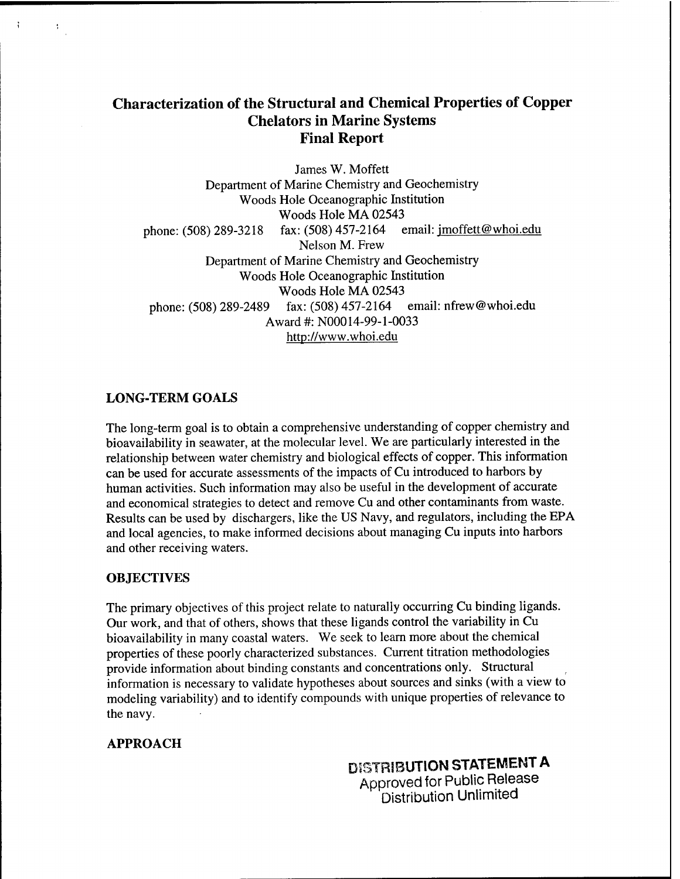# Characterization of the Structural and Chemical Properties of Copper Chelators in Marine Systems Final Report

James W. Moffett Department of Marine Chemistry and Geochemistry Woods Hole Oceanographic Institution Woods Hole MA 02543 phone: (508) 289-3218 fax: (508) 457-2164 email: imoffett@whoi.edu Nelson M. Frew Department of Marine Chemistry and Geochemistry Woods Hole Oceanographic Institution Woods Hole MA 02543 phone: (508) 289-2489 fax: (508) 457-2164 email: nfrew@whoi.edu Award #: NOOO14-99-1-0033 http://www.whoi.edu

# **LONG-TERM GOALS**

 $\ddot{i}$ 

The long-term goal is to obtain a comprehensive understanding of copper chemistry and bioavailability in seawater, at the molecular level. We are particularly interested in the relationship between water chemistry and biological effects of copper. This information can be used for accurate assessments of the impacts of Cu introduced to harbors by human activities. Such information may also be useful in the development of accurate and economical strategies to detect and remove Cu and other contaminants from waste. Results can be used by dischargers, like the US Navy, and regulators, including the EPA and local agencies, to make informed decisions about managing Cu inputs into harbors and other receiving waters.

# **OBJECTIVES**

The primary objectives of this project relate to naturally occurring Cu binding ligands. Our work, and that of others, shows that these ligands control the variability in Cu bioavailability in many coastal waters. We seek to learn more about the chemical properties of these poorly characterized substances. Current titration methodologies provide information about binding constants and concentrations only. Structural information is necessary to validate hypotheses about sources and sinks (with a view to modeling variability) and to identify compounds with unique properties of relevance to the navy.

# **APPROACH**

DISTRIBUTION STATEMENT A

Approved for Public Release Distribution Unlimited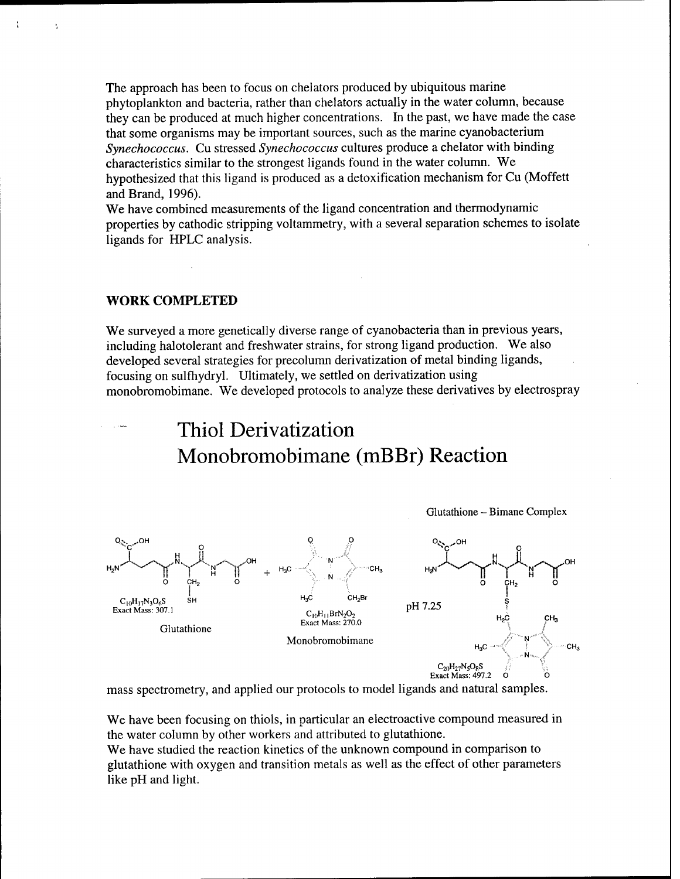The approach has been to focus on chelators produced by ubiquitous marine phytoplankton and bacteria, rather than chelators actually in the water column, because they can be produced at much higher concentrations. In the past, we have made the case that some organisms may be important sources, such as the marine cyanobacterium *Synechococcus.* Cu stressed *Synechococcus* cultures produce a chelator with binding characteristics similar to the strongest ligands found in the water column. We hypothesized that this ligand is produced as a detoxification mechanism for Cu (Moffett and Brand, 1996).

We have combined measurements of the ligand concentration and thermodynamic properties by cathodic stripping voltammetry, with a several separation schemes to isolate ligands for HPLC analysis.

#### **WORK COMPLETED**

 $\overline{1}$ 

We surveyed a more genetically diverse range of cyanobacteria than in previous years, including halotolerant and freshwater strains, for strong ligand production. We also developed several strategies for precolumn derivatization of metal binding ligands, focusing on sulfhydryl. Ultimately, we settled on derivatization using monobromobimane. We developed protocols to analyze these derivatives by electrospray

# Thiol Derivatization Monobromobimane (mBBr) Reaction



Glutathione - Bimane Complex

mass spectrometry, and applied our protocols to model ligands and natural samples.

We have been focusing on thiols, in particular an electroactive compound measured in the water column by other workers and attributed to glutathione.

We have studied the reaction kinetics of the unknown compound in comparison to glutathione with oxygen and transition metals as well as the effect of other parameters like pH and light.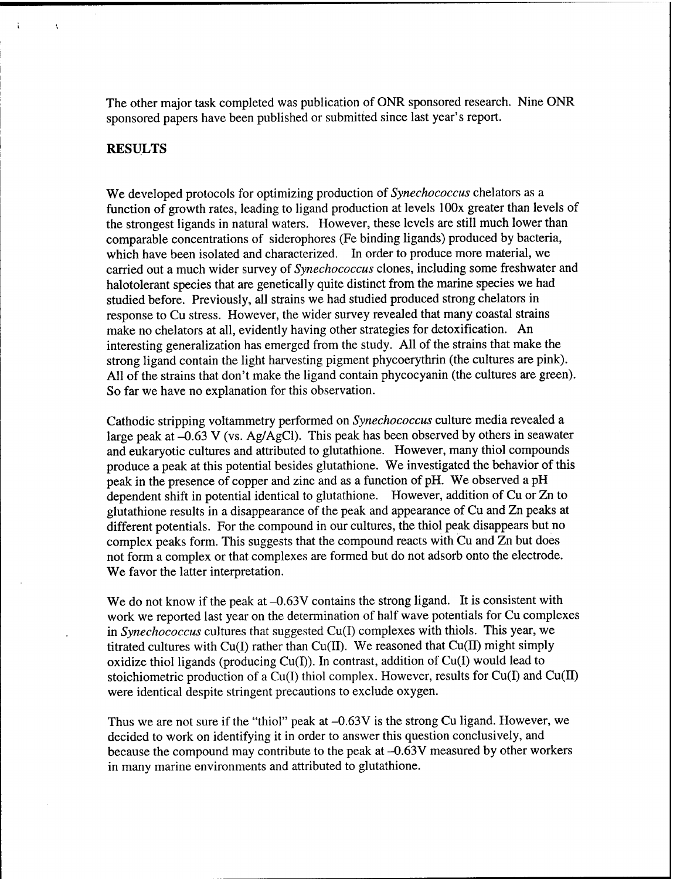The other major task completed was publication of ONR sponsored research. Nine ONR sponsored papers have been published or submitted since last year's report.

#### **RESULTS**

We developed protocols for optimizing production *of Synechococcus* chelators as a function of growth rates, leading to ligand production at levels lOOx greater than levels of the strongest ligands in natural waters. However, these levels are still much lower than comparable concentrations of siderophores (Fe binding ligands) produced by bacteria, which have been isolated and characterized. In order to produce more material, we carried out a much wider survey of *Synechococcus* clones, including some freshwater and halotolerant species that are genetically quite distinct from the marine species we had studied before. Previously, all strains we had studied produced strong chelators in response to Cu stress. However, the wider survey revealed that many coastal strains make no chelators at all, evidently having other strategies for detoxification. An interesting generalization has emerged from the study. All of the strains that make the strong ligand contain the light harvesting pigment phycoerythrin (the cultures are pink). All of the strains that don't make the ligand contain phycocyanin (the cultures are green). So far we have no explanation for this observation.

Cathodic stripping voltammetry performed on *Synechococcus* culture media revealed a large peak at  $-0.63$  V (vs. Ag/AgCl). This peak has been observed by others in seawater and eukaryotic cultures and attributed to glutathione. However, many thiol compounds produce a peak at this potential besides glutathione. We investigated the behavior of this peak in the presence of copper and zinc and as a function of pH. We observed a pH dependent shift in potential identical to glutathione. However, addition of Cu or Zn to glutathione results in a disappearance of the peak and appearance of Cu and Zn peaks at different potentials. For the compound in our cultures, the thiol peak disappears but no complex peaks form. This suggests that the compound reacts with Cu and Zn but does not form a complex or that complexes are formed but do not adsorb onto the electrode. We favor the latter interpretation.

We do not know if the peak at  $-0.63V$  contains the strong ligand. It is consistent with work we reported last year on the determination of half wave potentials for Cu complexes in *Synechococcus* cultures that suggested Cu(I) complexes with thiols. This year, we titrated cultures with Cu(I) rather than Cu(II). We reasoned that Cu(II) might simply oxidize thiol ligands (producing  $Cu(I)$ ). In contrast, addition of  $Cu(I)$  would lead to stoichiometric production of a  $Cu(I)$  thiol complex. However, results for  $Cu(I)$  and  $Cu(II)$ were identical despite stringent precautions to exclude oxygen.

Thus we are not sure if the "thiol" peak at  $-0.63V$  is the strong Cu ligand. However, we decided to work on identifying it in order to answer this question conclusively, and because the compound may contribute to the peak at -0.63V measured by other workers in many marine environments and attributed to glutathione.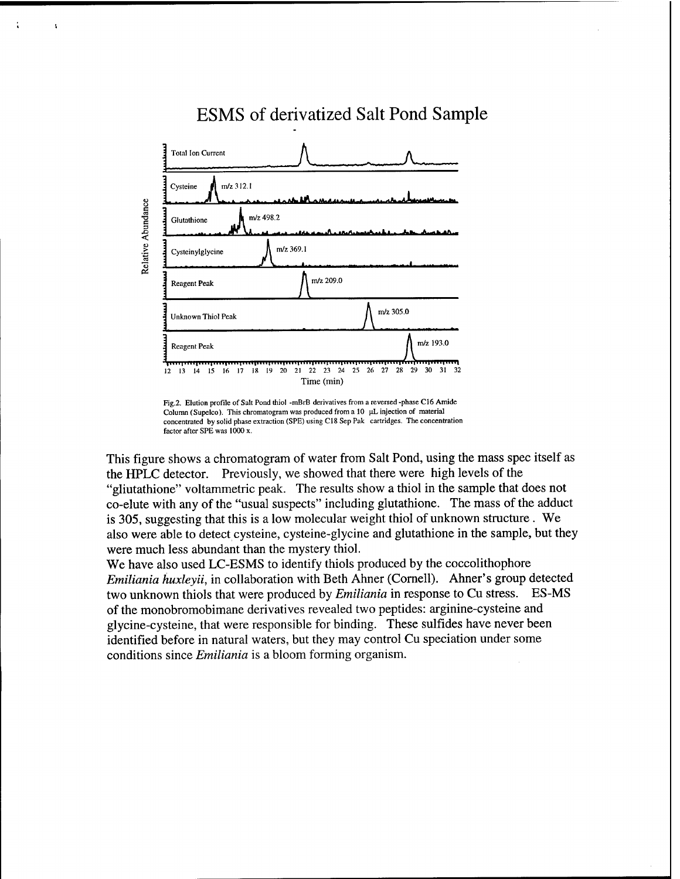

 $\ddot{\bullet}$ 

 $\boldsymbol{\epsilon}$ 

# ESMS of derivatized Salt Pond Sample

Fig.2. Elution profile of Salt Pond thiol -mBrB derivatives from a reversed -phase CI6 Amide Column (Supelco). This chromatogram was produced from a 10 µL injection of material concentrated by solid phase extraction (SPE) using CIS SepPak cartridges. The concentration factor after SPE was 1000 x.

This figure shows a chromatogram of water from Salt Pond, using the mass spec itself as the HPLC detector. Previously, we showed that there were high levels of the "gliutathione" voltammetric peak. The results show a thiol in the sample that does not co-elute with any of the "usual suspects" including glutathione. The mass of the adduct is 305, suggesting that this is a low molecular weight thiol of unknown structure. We also were able to detect cysteine, cysteine-glycine and glutathione in the sample, but they were much less abundant than the mystery thiol.

We have also used LC-ESMS to identify thiols produced by the coccolithophore *Emiliania huxleyii,* in collaboration with Beth Ahner (Cornell). Ahner's group detected two unknown thiols that were produced by *Emiliania* in response to Cu stress. ES-MS of the monobromobimane derivatives revealed two peptides: arginine-cysteine and glycine-cysteine, that were responsible for binding. These sulfides have never been identified before in natural waters, but they may control Cu speciation under some conditions since *Emiliania* is a bloom forming organism.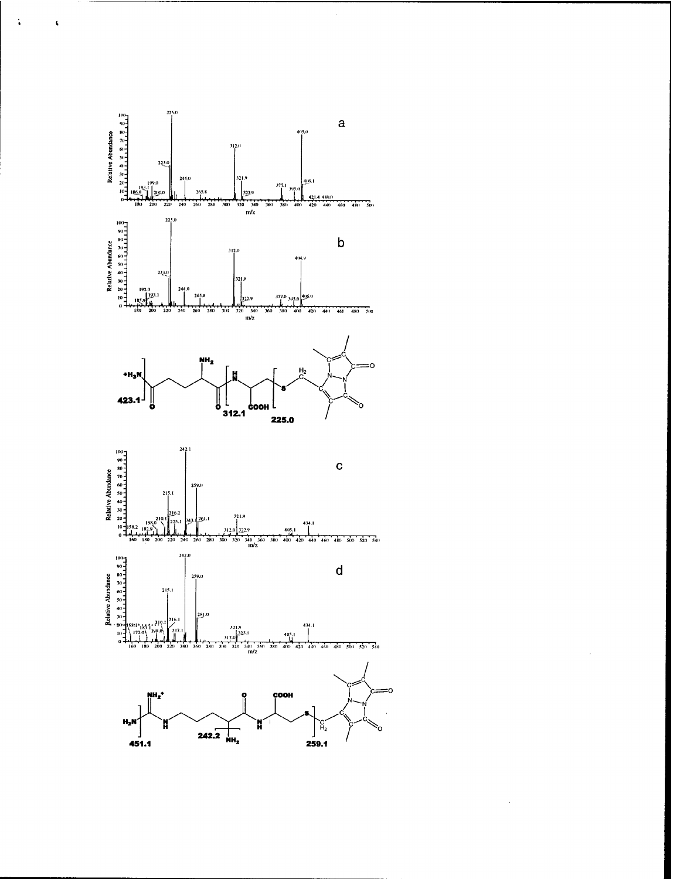

 $\ddot{\bullet}$ 

 $\bar{\zeta}$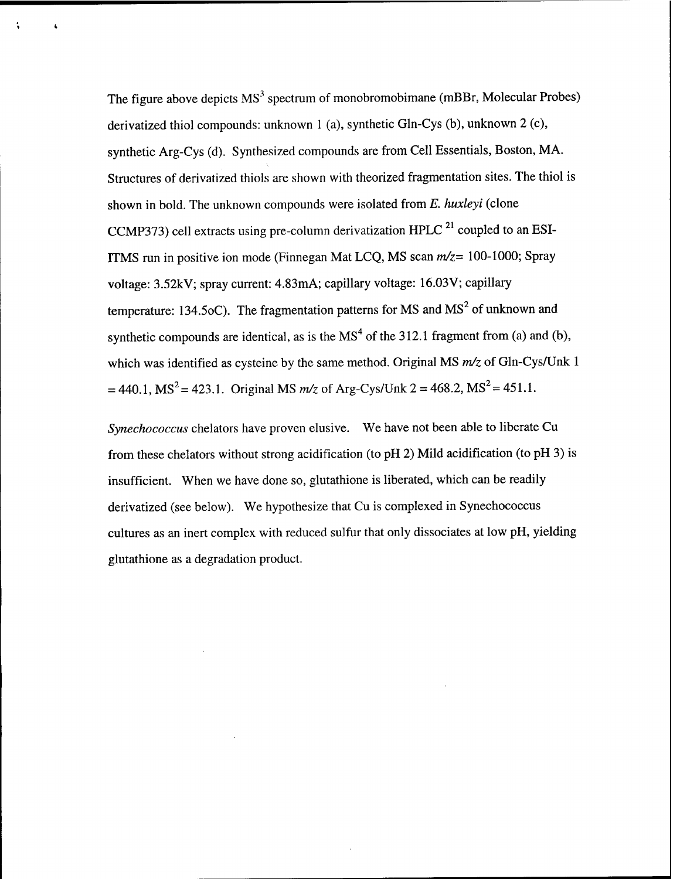The figure above depicts  $MS<sup>3</sup>$  spectrum of monobromobimane (mBBr, Molecular Probes) derivatized thiol compounds: unknown <sup>1</sup> (a), synthetic Gln-Cys (b), unknown 2 (c), synthetic Arg-Cys (d). Synthesized compounds are from Cell Essentials, Boston, MA. Structures of derivatized thiols are shown with theorized fragmentation sites. The thiol is shown in bold. The unknown compounds were isolated from *E. huxleyi* (clone CCMP373) cell extracts using pre-column derivatization HPLC<sup>21</sup> coupled to an ESI-ITMS run in positive ion mode (Finnegan Mat LCQ, MS scan *m/z=* 100-1000; Spray voltage: 3.52kV; spray current: 4.83mA; capillary voltage: 16.03V; capillary temperature: 134.5oC). The fragmentation patterns for  $MS$  and  $MS<sup>2</sup>$  of unknown and synthetic compounds are identical, as is the  $MS<sup>4</sup>$  of the 312.1 fragment from (a) and (b), which was identified as cysteine by the same method. Original MS *m/z* of Gln-Cys/Unk <sup>1</sup>  $= 440.1$ , MS<sup>2</sup> = 423.1. Original MS *m/z* of Arg-Cys/Unk 2 = 468.2, MS<sup>2</sup> = 451.1.

*Synechococcus* chelators have proven elusive. We have not been able to liberate Cu from these chelators without strong acidification (to pH 2) Mild acidification (to pH 3) is insufficient. When we have done so, glutathione is liberated, which can be readily derivatized (see below). We hypothesize that Cu is complexed in Synechococcus cultures as an inert complex with reduced sulfur that only dissociates at low pH, yielding glutathione as a degradation product.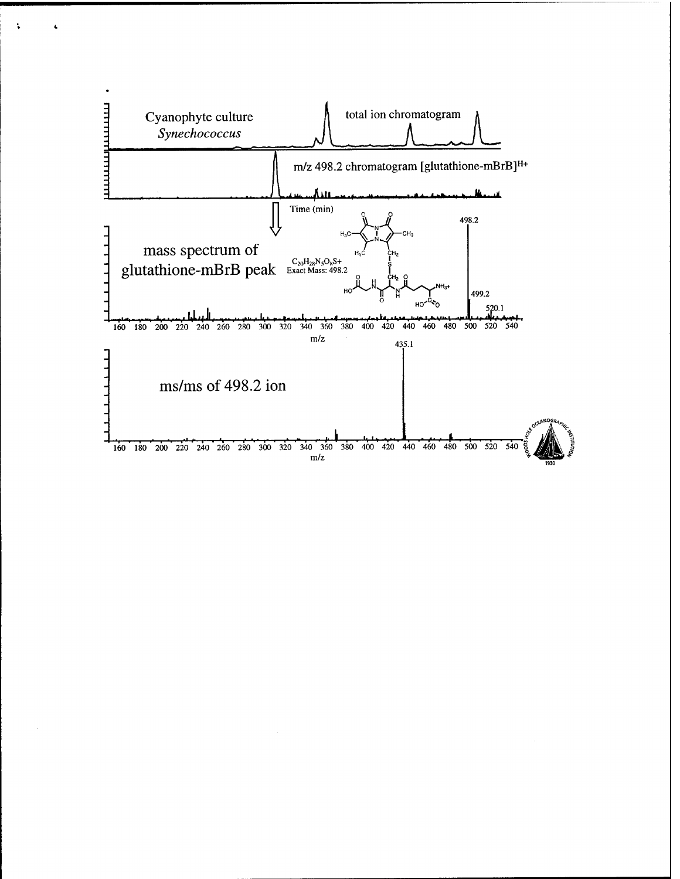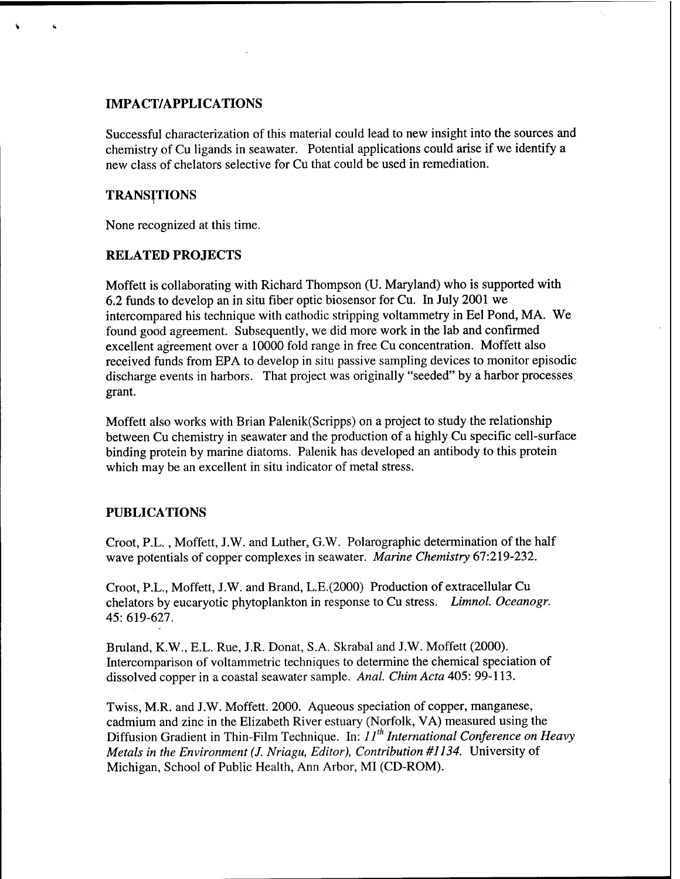#### **IMPACT/APPLICATIONS**

Successful characterization of this material could lead to new insight into the sources and chemistry of Cu ligands in seawater. Potential applications could arise if we identify a new class of chelators selective for Cu that could be used in remediation.

## **TRANSITIONS**

None recognized at this time.

## **RELATED PROJECTS**

Moffett is collaborating with Richard Thompson (U. Maryland) who is supported with 6.2 funds to develop an in situ fiber optic biosensor for Cu. In July 2001 we intercompared his technique with cathodic stripping voltammetry in Eel Pond, MA. We found good agreement. Subsequently, we did more work in the lab and confirmed excellent agreement over a 10000 fold range in free Cu concentration. Moffett also received funds from EPA to develop in situ passive sampling devices to monitor episodic discharge events in harbors. That project was originally "seeded" by a harbor processes grant.

Moffett also works with Brian Palenik(Scripps) on a project to study the relationship between Cu chemistry in seawater and the production of a highly Cu specific cell-surface binding protein by marine diatoms. Palenik has developed an antibody to this protein which may be an excellent in situ indicator of metal stress.

# **PUBLICATIONS**

Croot, P.L., Moffett, J.W. and Luther, G.W. Polarographic determination of the half wave potentials of copper complexes in seawater. *Marine Chemistry* 67:219-232.

Croot, P.L., Moffett, J.W. and Brand, L.E.(2000) Production of extracellular Cu chelators by eucaryotic phytoplankton in response to Cu stress. *Limnol. Oceanogr.* 45: 619-627.

Bruland, K.W., E.L. Rue, J.R. Donat, S.A. Skrabal and J.W. Moffett (2000). Intercomparison of voltammetric techniques to determine the chemical speciation of dissolved copper in a coastal seawater sample. *Anal. ChimActa* 405: 99-113.

Twiss, M.R. and J.W. Moffett. 2000. Aqueous speciation of copper, manganese, cadmium and zinc in the Elizabeth River estuary (Norfolk, VA) measured using the Diffusion Gradient in Thin-Film Technique. In: *11"' International Conference on Heavy Metals in the Environment (J. Nriagu, Editor), Contribution #1134.* University of Michigan, School of Public Health, Ann Arbor, MI (CD-ROM).